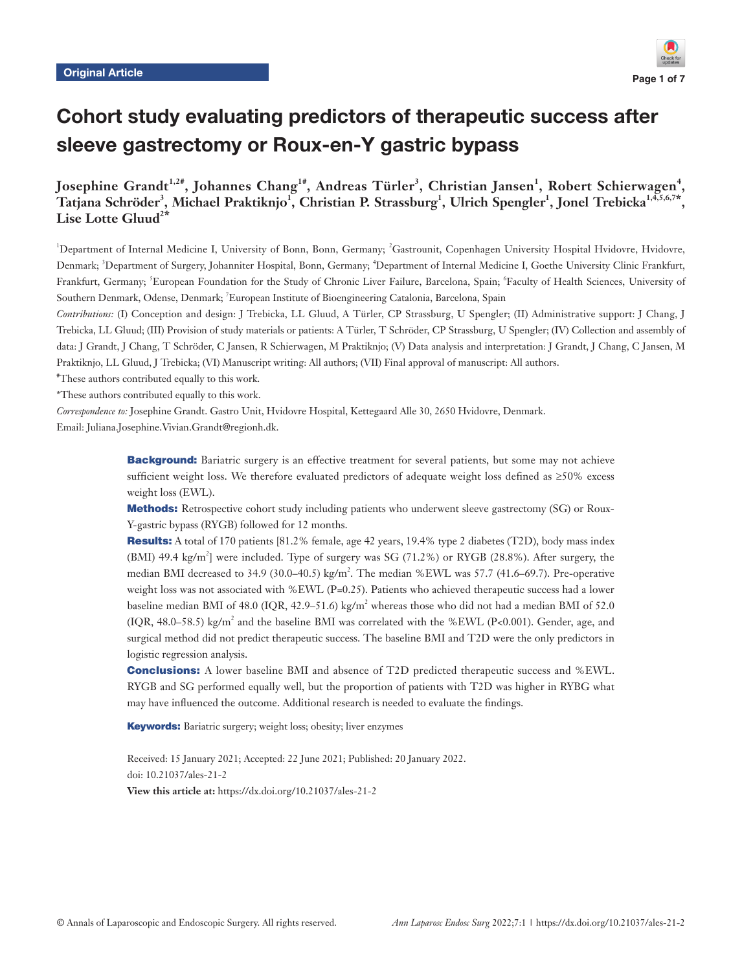

# Cohort study evaluating predictors of therapeutic success after sleeve gastrectomy or Roux-en-Y gastric bypass

**Josephine Grandt1,2#, Johannes Chang1#, Andreas Türler3 , Christian Jansen<sup>1</sup> , Robert Schierwagen<sup>4</sup> ,**   $\rm T$ atjana Schröder<sup>3</sup>, Michael Praktiknjo<sup>1</sup>, Christian P. Strassburg<sup>1</sup>, Ulrich Spengler<sup>1</sup>, Jonel Trebicka<sup>1,4,5,6,7\*</sup>, Lise Lotte Gluud<sup>2\*</sup>

<sup>1</sup>Department of Internal Medicine I, University of Bonn, Bonn, Germany; <sup>2</sup>Gastrounit, Copenhagen University Hospital Hvidovre, Hvidovre, Denmark; <sup>3</sup>Department of Surgery, Johanniter Hospital, Bonn, Germany; <sup>4</sup>Department of Internal Medicine I, Goethe University Clinic Frankfurt, Frankfurt, Germany; <sup>5</sup>European Foundation for the Study of Chronic Liver Failure, Barcelona, Spain; <sup>6</sup>Faculty of Health Sciences, University of Southern Denmark, Odense, Denmark; 7 European Institute of Bioengineering Catalonia, Barcelona, Spain

*Contributions:* (I) Conception and design: J Trebicka, LL Gluud, A Türler, CP Strassburg, U Spengler; (II) Administrative support: J Chang, J Trebicka, LL Gluud; (III) Provision of study materials or patients: A Türler, T Schröder, CP Strassburg, U Spengler; (IV) Collection and assembly of data: J Grandt, J Chang, T Schröder, C Jansen, R Schierwagen, M Praktiknjo; (V) Data analysis and interpretation: J Grandt, J Chang, C Jansen, M Praktiknjo, LL Gluud, J Trebicka; (VI) Manuscript writing: All authors; (VII) Final approval of manuscript: All authors.

# These authors contributed equally to this work.

\*These authors contributed equally to this work.

*Correspondence to:* Josephine Grandt. Gastro Unit, Hvidovre Hospital, Kettegaard Alle 30, 2650 Hvidovre, Denmark.

Email: Juliana.Josephine.Vivian.Grandt@regionh.dk.

Background: Bariatric surgery is an effective treatment for several patients, but some may not achieve sufficient weight loss. We therefore evaluated predictors of adequate weight loss defined as ≥50% excess weight loss (EWL).

Methods: Retrospective cohort study including patients who underwent sleeve gastrectomy (SG) or Roux-Y-gastric bypass (RYGB) followed for 12 months.

Results: A total of 170 patients [81.2% female, age 42 years, 19.4% type 2 diabetes (T2D), body mass index (BMI) 49.4 kg/m<sup>2</sup>] were included. Type of surgery was SG (71.2%) or RYGB (28.8%). After surgery, the median BMI decreased to 34.9 (30.0–40.5) kg/m<sup>2</sup>. The median %EWL was 57.7 (41.6–69.7). Pre-operative weight loss was not associated with %EWL (P=0.25). Patients who achieved therapeutic success had a lower baseline median BMI of 48.0 (IQR, 42.9–51.6) kg/m<sup>2</sup> whereas those who did not had a median BMI of 52.0  $(IQR, 48.0-58.5)$  kg/m<sup>2</sup> and the baseline BMI was correlated with the %EWL (P<0.001). Gender, age, and surgical method did not predict therapeutic success. The baseline BMI and T2D were the only predictors in logistic regression analysis.

**Conclusions:** A lower baseline BMI and absence of T2D predicted therapeutic success and %EWL. RYGB and SG performed equally well, but the proportion of patients with T2D was higher in RYBG what may have influenced the outcome. Additional research is needed to evaluate the findings.

Keywords: Bariatric surgery; weight loss; obesity; liver enzymes

Received: 15 January 2021; Accepted: 22 June 2021; Published: 20 January 2022. doi: 10.21037/ales-21-2 **View this article at:** https://dx.doi.org/10.21037/ales-21-2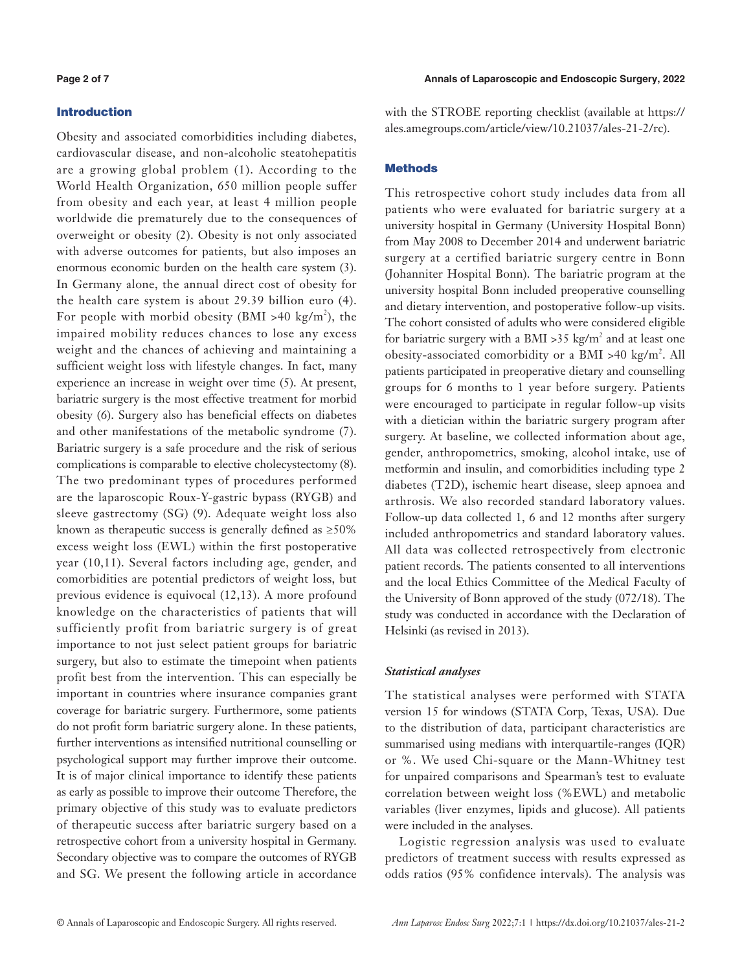# Introduction

Obesity and associated comorbidities including diabetes, cardiovascular disease, and non-alcoholic steatohepatitis are a growing global problem (1). According to the World Health Organization, 650 million people suffer from obesity and each year, at least 4 million people worldwide die prematurely due to the consequences of overweight or obesity (2). Obesity is not only associated with adverse outcomes for patients, but also imposes an enormous economic burden on the health care system (3). In Germany alone, the annual direct cost of obesity for the health care system is about 29.39 billion euro (4). For people with morbid obesity (BMI >40 kg/m<sup>2</sup>), the impaired mobility reduces chances to lose any excess weight and the chances of achieving and maintaining a sufficient weight loss with lifestyle changes. In fact, many experience an increase in weight over time (5). At present, bariatric surgery is the most effective treatment for morbid obesity (6). Surgery also has beneficial effects on diabetes and other manifestations of the metabolic syndrome (7). Bariatric surgery is a safe procedure and the risk of serious complications is comparable to elective cholecystectomy (8). The two predominant types of procedures performed are the laparoscopic Roux-Y-gastric bypass (RYGB) and sleeve gastrectomy (SG) (9). Adequate weight loss also known as therapeutic success is generally defined as  $\geq 50\%$ excess weight loss (EWL) within the first postoperative year (10,11). Several factors including age, gender, and comorbidities are potential predictors of weight loss, but previous evidence is equivocal (12,13). A more profound knowledge on the characteristics of patients that will sufficiently profit from bariatric surgery is of great importance to not just select patient groups for bariatric surgery, but also to estimate the timepoint when patients profit best from the intervention. This can especially be important in countries where insurance companies grant coverage for bariatric surgery. Furthermore, some patients do not profit form bariatric surgery alone. In these patients, further interventions as intensified nutritional counselling or psychological support may further improve their outcome. It is of major clinical importance to identify these patients as early as possible to improve their outcome Therefore, the primary objective of this study was to evaluate predictors of therapeutic success after bariatric surgery based on a retrospective cohort from a university hospital in Germany. Secondary objective was to compare the outcomes of RYGB and SG. We present the following article in accordance with the STROBE reporting checklist (available at [https://](https://ales.amegroups.com/article/view/10.21037/ales-21-2/rc) [ales.amegroups.com/article/view/10.21037/ales-21-2/rc](https://ales.amegroups.com/article/view/10.21037/ales-21-2/rc)).

# **Methods**

This retrospective cohort study includes data from all patients who were evaluated for bariatric surgery at a university hospital in Germany (University Hospital Bonn) from May 2008 to December 2014 and underwent bariatric surgery at a certified bariatric surgery centre in Bonn (Johanniter Hospital Bonn). The bariatric program at the university hospital Bonn included preoperative counselling and dietary intervention, and postoperative follow-up visits. The cohort consisted of adults who were considered eligible for bariatric surgery with a BMI > 35 kg/m<sup>2</sup> and at least one obesity-associated comorbidity or a BMI >40 kg/m<sup>2</sup>. All patients participated in preoperative dietary and counselling groups for 6 months to 1 year before surgery. Patients were encouraged to participate in regular follow-up visits with a dietician within the bariatric surgery program after surgery. At baseline, we collected information about age, gender, anthropometrics, smoking, alcohol intake, use of metformin and insulin, and comorbidities including type 2 diabetes (T2D), ischemic heart disease, sleep apnoea and arthrosis. We also recorded standard laboratory values. Follow-up data collected 1, 6 and 12 months after surgery included anthropometrics and standard laboratory values. All data was collected retrospectively from electronic patient records. The patients consented to all interventions and the local Ethics Committee of the Medical Faculty of the University of Bonn approved of the study (072/18). The study was conducted in accordance with the Declaration of Helsinki (as revised in 2013).

# *Statistical analyses*

The statistical analyses were performed with STATA version 15 for windows (STATA Corp, Texas, USA). Due to the distribution of data, participant characteristics are summarised using medians with interquartile-ranges (IQR) or %. We used Chi-square or the Mann-Whitney test for unpaired comparisons and Spearman's test to evaluate correlation between weight loss (%EWL) and metabolic variables (liver enzymes, lipids and glucose). All patients were included in the analyses.

Logistic regression analysis was used to evaluate predictors of treatment success with results expressed as odds ratios (95% confidence intervals). The analysis was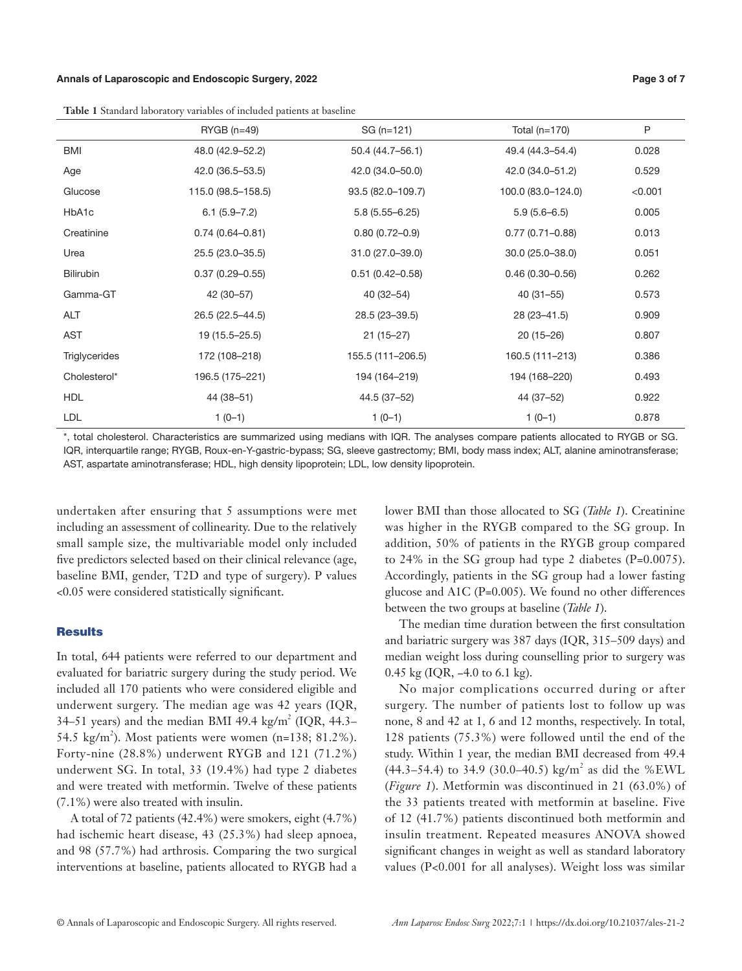### **Annals of Laparoscopic and Endoscopic Surgery, 2022 Page 3 of 7**

**Table 1** Standard laboratory variables of included patients at baseline

|                  | л.                  |                     |                     |         |
|------------------|---------------------|---------------------|---------------------|---------|
|                  | $RYGB(n=49)$        | SG (n=121)          | Total $(n=170)$     | P       |
| BMI              | 48.0 (42.9-52.2)    | 50.4 (44.7-56.1)    | 49.4 (44.3–54.4)    | 0.028   |
| Age              | 42.0 (36.5–53.5)    | 42.0 (34.0-50.0)    | 42.0 (34.0-51.2)    | 0.529   |
| Glucose          | 115.0 (98.5-158.5)  | 93.5 (82.0-109.7)   | 100.0 (83.0-124.0)  | < 0.001 |
| HbA1c            | $6.1(5.9 - 7.2)$    | $5.8(5.55 - 6.25)$  | $5.9(5.6 - 6.5)$    | 0.005   |
| Creatinine       | $0.74(0.64 - 0.81)$ | $0.80(0.72 - 0.9)$  | $0.77(0.71 - 0.88)$ | 0.013   |
| Urea             | 25.5 (23.0-35.5)    | 31.0 (27.0-39.0)    | $30.0(25.0 - 38.0)$ | 0.051   |
| <b>Bilirubin</b> | $0.37(0.29 - 0.55)$ | $0.51(0.42 - 0.58)$ | $0.46(0.30 - 0.56)$ | 0.262   |
| Gamma-GT         | 42 (30-57)          | $40(32 - 54)$       | $40(31 - 55)$       | 0.573   |
| <b>ALT</b>       | 26.5 (22.5-44.5)    | 28.5 (23-39.5)      | 28 (23 - 41.5)      | 0.909   |
| <b>AST</b>       | 19 (15.5–25.5)      | $21(15-27)$         | $20(15-26)$         | 0.807   |
| Triglycerides    | 172 (108-218)       | 155.5 (111-206.5)   | 160.5 (111-213)     | 0.386   |
| Cholesterol*     | 196.5 (175-221)     | 194 (164-219)       | 194 (168-220)       | 0.493   |
| <b>HDL</b>       | 44 (38-51)          | 44.5 (37-52)        | 44 (37-52)          | 0.922   |
| <b>LDL</b>       | $1(0-1)$            | $1(0-1)$            | $1(0-1)$            | 0.878   |

\*, total cholesterol. Characteristics are summarized using medians with IQR. The analyses compare patients allocated to RYGB or SG. IQR, interquartile range; RYGB, Roux-en-Y-gastric-bypass; SG, sleeve gastrectomy; BMI, body mass index; ALT, alanine aminotransferase; AST, aspartate aminotransferase; HDL, high density lipoprotein; LDL, low density lipoprotein.

undertaken after ensuring that 5 assumptions were met including an assessment of collinearity. Due to the relatively small sample size, the multivariable model only included five predictors selected based on their clinical relevance (age, baseline BMI, gender, T2D and type of surgery). P values <0.05 were considered statistically significant.

### **Results**

In total, 644 patients were referred to our department and evaluated for bariatric surgery during the study period. We included all 170 patients who were considered eligible and underwent surgery. The median age was 42 years (IQR, 34–51 years) and the median BMI 49.4 kg/m<sup>2</sup> (IQR, 44.3– 54.5 kg/m<sup>2</sup>). Most patients were women (n=138; 81.2%). Forty-nine (28.8%) underwent RYGB and 121 (71.2%) underwent SG. In total, 33 (19.4%) had type 2 diabetes and were treated with metformin. Twelve of these patients (7.1%) were also treated with insulin.

A total of 72 patients (42.4%) were smokers, eight (4.7%) had ischemic heart disease, 43 (25.3%) had sleep apnoea, and 98 (57.7%) had arthrosis. Comparing the two surgical interventions at baseline, patients allocated to RYGB had a lower BMI than those allocated to SG (*Table 1*). Creatinine was higher in the RYGB compared to the SG group. In addition, 50% of patients in the RYGB group compared to 24% in the SG group had type 2 diabetes (P=0.0075). Accordingly, patients in the SG group had a lower fasting glucose and A1C (P=0.005). We found no other differences between the two groups at baseline (*Table 1*).

The median time duration between the first consultation and bariatric surgery was 387 days (IQR, 315–509 days) and median weight loss during counselling prior to surgery was 0.45 kg (IQR, -4.0 to 6.1 kg).

No major complications occurred during or after surgery. The number of patients lost to follow up was none, 8 and 42 at 1, 6 and 12 months, respectively. In total, 128 patients (75.3%) were followed until the end of the study. Within 1 year, the median BMI decreased from 49.4  $(44.3-54.4)$  to 34.9 (30.0-40.5) kg/m<sup>2</sup> as did the %EWL (*Figure 1*). Metformin was discontinued in 21 (63.0%) of the 33 patients treated with metformin at baseline. Five of 12 (41.7%) patients discontinued both metformin and insulin treatment. Repeated measures ANOVA showed significant changes in weight as well as standard laboratory values (P<0.001 for all analyses). Weight loss was similar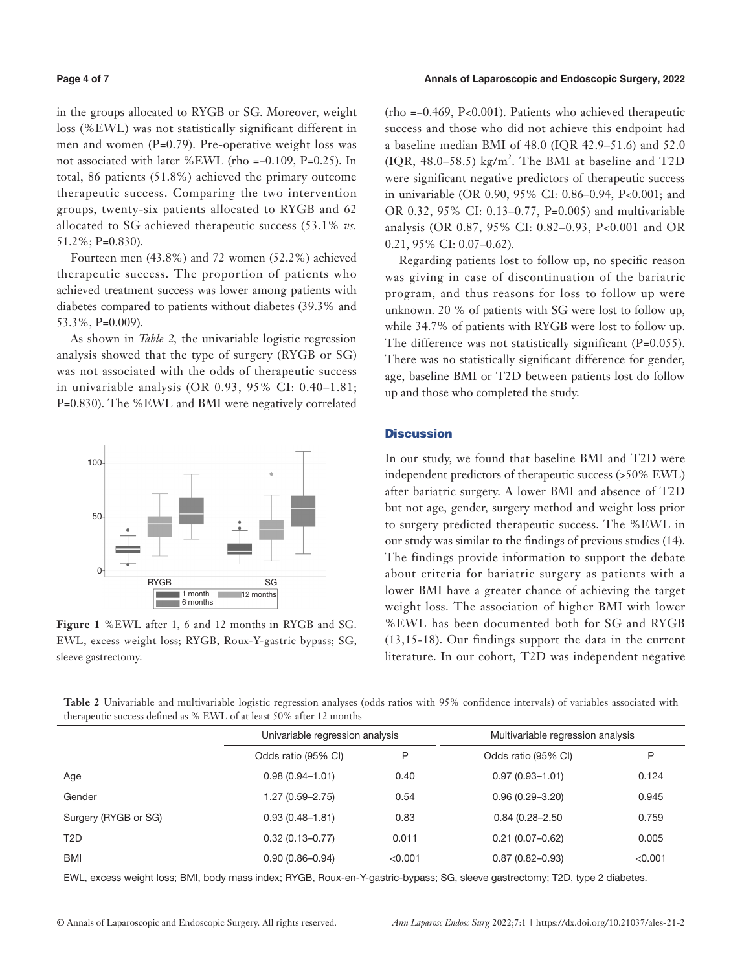in the groups allocated to RYGB or SG. Moreover, weight loss (%EWL) was not statistically significant different in men and women (P=0.79). Pre-operative weight loss was not associated with later %EWL (rho =−0.109, P=0.25). In total, 86 patients (51.8%) achieved the primary outcome therapeutic success. Comparing the two intervention groups, twenty-six patients allocated to RYGB and 62 allocated to SG achieved therapeutic success (53.1% *vs.* 51.2%; P=0.830).

Fourteen men (43.8%) and 72 women (52.2%) achieved therapeutic success. The proportion of patients who achieved treatment success was lower among patients with diabetes compared to patients without diabetes (39.3% and 53.3%, P=0.009).

As shown in *Table 2,* the univariable logistic regression analysis showed that the type of surgery (RYGB or SG) was not associated with the odds of therapeutic success in univariable analysis (OR 0.93, 95% CI: 0.40–1.81; P=0.830). The %EWL and BMI were negatively correlated



**Figure 1** %EWL after 1, 6 and 12 months in RYGB and SG. EWL, excess weight loss; RYGB, Roux-Y-gastric bypass; SG, sleeve gastrectomy.

(rho =−0.469, P<0.001). Patients who achieved therapeutic success and those who did not achieve this endpoint had a baseline median BMI of 48.0 (IQR 42.9–51.6) and 52.0  $( IQR, 48.0-58.5)$  kg/m<sup>2</sup>. The BMI at baseline and T2D were significant negative predictors of therapeutic success in univariable (OR 0.90, 95% CI: 0.86–0.94, P<0.001; and OR 0.32, 95% CI: 0.13–0.77, P=0.005) and multivariable analysis (OR 0.87, 95% CI: 0.82–0.93, P<0.001 and OR 0.21, 95% CI: 0.07–0.62).

Regarding patients lost to follow up, no specific reason was giving in case of discontinuation of the bariatric program, and thus reasons for loss to follow up were unknown. 20 % of patients with SG were lost to follow up, while 34.7% of patients with RYGB were lost to follow up. The difference was not statistically significant (P=0.055). There was no statistically significant difference for gender, age, baseline BMI or T2D between patients lost do follow up and those who completed the study.

#### **Discussion**

In our study, we found that baseline BMI and T2D were independent predictors of therapeutic success (>50% EWL) after bariatric surgery. A lower BMI and absence of T2D but not age, gender, surgery method and weight loss prior to surgery predicted therapeutic success. The %EWL in our study was similar to the findings of previous studies (14). The findings provide information to support the debate about criteria for bariatric surgery as patients with a lower BMI have a greater chance of achieving the target weight loss. The association of higher BMI with lower %EWL has been documented both for SG and RYGB (13,15-18). Our findings support the data in the current literature. In our cohort, T2D was independent negative

**Table 2** Univariable and multivariable logistic regression analyses (odds ratios with 95% confidence intervals) of variables associated with therapeutic success defined as % EWL of at least 50% after 12 months

|                      | Univariable regression analysis |         | Multivariable regression analysis |         |
|----------------------|---------------------------------|---------|-----------------------------------|---------|
|                      | Odds ratio (95% CI)             | P       | Odds ratio (95% CI)               | P       |
| Age                  | $0.98(0.94 - 1.01)$             | 0.40    | $0.97(0.93 - 1.01)$               | 0.124   |
| Gender               | $1.27(0.59 - 2.75)$             | 0.54    | $0.96(0.29 - 3.20)$               | 0.945   |
| Surgery (RYGB or SG) | $0.93(0.48 - 1.81)$             | 0.83    | $0.84(0.28 - 2.50)$               | 0.759   |
| T2D                  | $0.32(0.13 - 0.77)$             | 0.011   | $0.21(0.07 - 0.62)$               | 0.005   |
| BMI                  | $0.90(0.86 - 0.94)$             | < 0.001 | $0.87(0.82 - 0.93)$               | < 0.001 |

EWL, excess weight loss; BMI, body mass index; RYGB, Roux-en-Y-gastric-bypass; SG, sleeve gastrectomy; T2D, type 2 diabetes.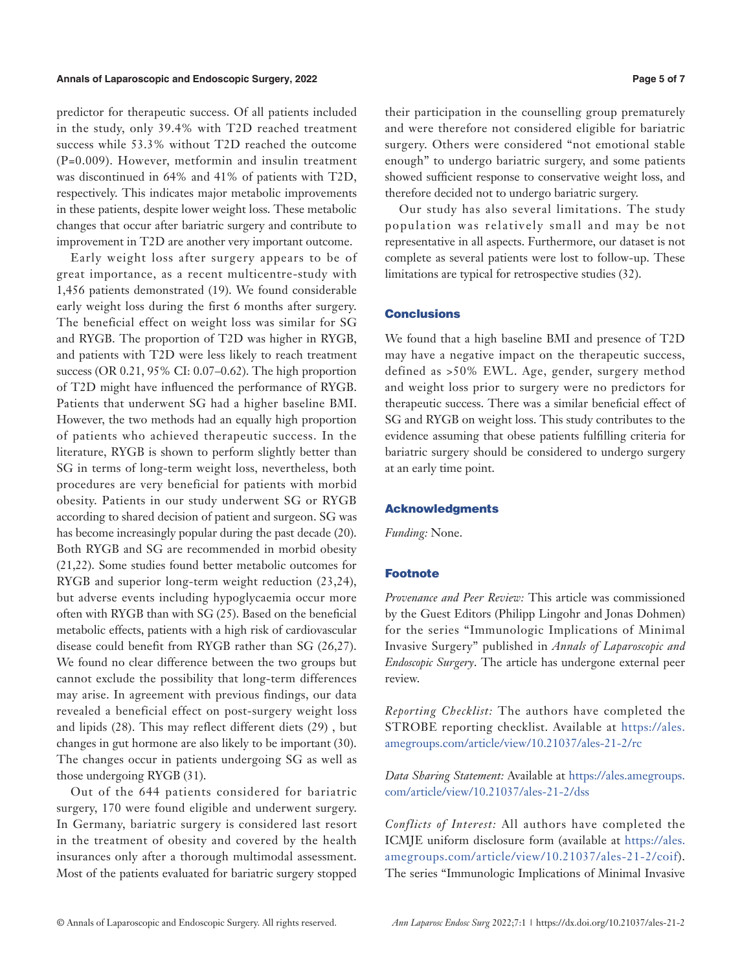#### **Annals of Laparoscopic and Endoscopic Surgery, 2022 Page 5 of 7**

predictor for therapeutic success. Of all patients included in the study, only 39.4% with T2D reached treatment success while 53.3% without T2D reached the outcome (P=0.009). However, metformin and insulin treatment was discontinued in 64% and 41% of patients with T2D, respectively. This indicates major metabolic improvements in these patients, despite lower weight loss. These metabolic changes that occur after bariatric surgery and contribute to improvement in T2D are another very important outcome.

Early weight loss after surgery appears to be of great importance, as a recent multicentre-study with 1,456 patients demonstrated (19). We found considerable early weight loss during the first 6 months after surgery. The beneficial effect on weight loss was similar for SG and RYGB. The proportion of T2D was higher in RYGB, and patients with T2D were less likely to reach treatment success (OR 0.21, 95% CI: 0.07–0.62). The high proportion of T2D might have influenced the performance of RYGB. Patients that underwent SG had a higher baseline BMI. However, the two methods had an equally high proportion of patients who achieved therapeutic success. In the literature, RYGB is shown to perform slightly better than SG in terms of long-term weight loss, nevertheless, both procedures are very beneficial for patients with morbid obesity. Patients in our study underwent SG or RYGB according to shared decision of patient and surgeon. SG was has become increasingly popular during the past decade (20). Both RYGB and SG are recommended in morbid obesity (21,22). Some studies found better metabolic outcomes for RYGB and superior long-term weight reduction (23,24), but adverse events including hypoglycaemia occur more often with RYGB than with SG (25). Based on the beneficial metabolic effects, patients with a high risk of cardiovascular disease could benefit from RYGB rather than SG (26,27). We found no clear difference between the two groups but cannot exclude the possibility that long-term differences may arise. In agreement with previous findings, our data revealed a beneficial effect on post-surgery weight loss and lipids (28). This may reflect different diets (29) , but changes in gut hormone are also likely to be important (30). The changes occur in patients undergoing SG as well as those undergoing RYGB (31).

Out of the 644 patients considered for bariatric surgery, 170 were found eligible and underwent surgery. In Germany, bariatric surgery is considered last resort in the treatment of obesity and covered by the health insurances only after a thorough multimodal assessment. Most of the patients evaluated for bariatric surgery stopped their participation in the counselling group prematurely and were therefore not considered eligible for bariatric surgery. Others were considered "not emotional stable enough" to undergo bariatric surgery, and some patients showed sufficient response to conservative weight loss, and therefore decided not to undergo bariatric surgery.

Our study has also several limitations. The study population was relatively small and may be not representative in all aspects. Furthermore, our dataset is not complete as several patients were lost to follow-up. These limitations are typical for retrospective studies (32).

#### **Conclusions**

We found that a high baseline BMI and presence of T2D may have a negative impact on the therapeutic success, defined as >50% EWL. Age, gender, surgery method and weight loss prior to surgery were no predictors for therapeutic success. There was a similar beneficial effect of SG and RYGB on weight loss. This study contributes to the evidence assuming that obese patients fulfilling criteria for bariatric surgery should be considered to undergo surgery at an early time point.

#### Acknowledgments

*Funding:* None.

#### **Footnote**

*Provenance and Peer Review:* This article was commissioned by the Guest Editors (Philipp Lingohr and Jonas Dohmen) for the series "Immunologic Implications of Minimal Invasive Surgery" published in *Annals of Laparoscopic and Endoscopic Surgery*. The article has undergone external peer review.

*Reporting Checklist:* The authors have completed the STROBE reporting checklist. Available at [https://ales.](https://ales.amegroups.com/article/view/10.21037/ales-21-2/rc) [amegroups.com/article/view/10.21037/ales-21-2/rc](https://ales.amegroups.com/article/view/10.21037/ales-21-2/rc)

*Data Sharing Statement:* Available at [https://ales.amegroups.](https://ales.amegroups.com/article/view/10.21037/ales-21-2/dss) [com/article/view/10.21037/ales-21-2/dss](https://ales.amegroups.com/article/view/10.21037/ales-21-2/dss)

*Conflicts of Interest:* All authors have completed the ICMJE uniform disclosure form (available at [https://ales.](https://ales.amegroups.com/article/view/10.21037/ales-21-2/coif) [amegroups.com/article/view/10.21037/ales-21-2/coif](https://ales.amegroups.com/article/view/10.21037/ales-21-2/coif)). The series "Immunologic Implications of Minimal Invasive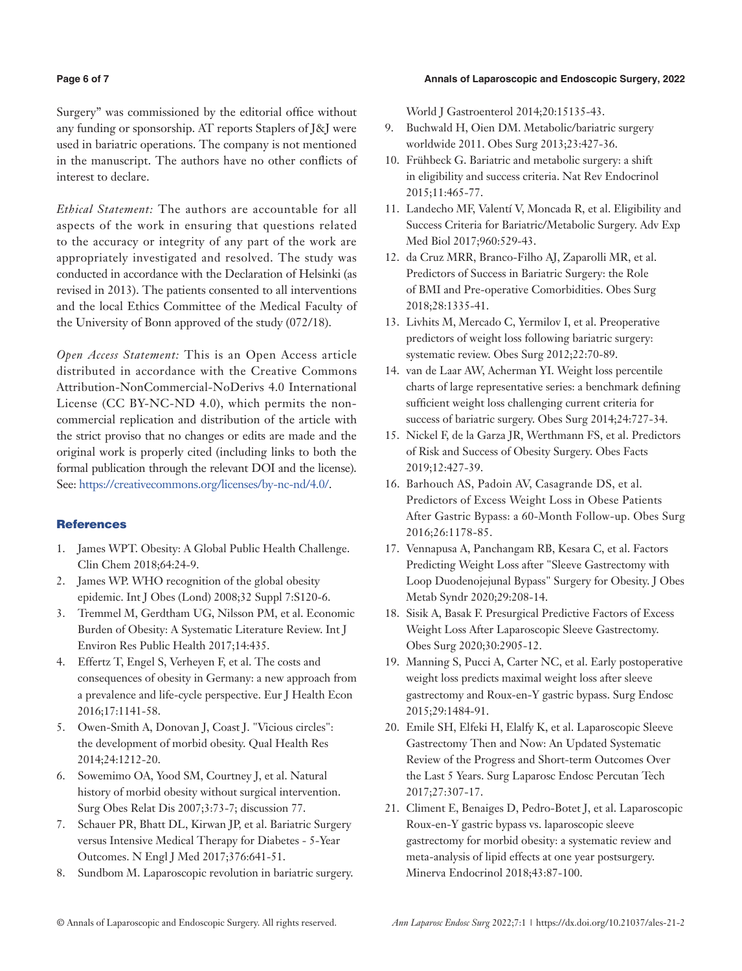# **Page 6 of 7 Annals of Laparoscopic and Endoscopic Surgery, 2022**

Surgery" was commissioned by the editorial office without any funding or sponsorship. AT reports Staplers of J&J were used in bariatric operations. The company is not mentioned in the manuscript. The authors have no other conflicts of interest to declare.

*Ethical Statement:* The authors are accountable for all aspects of the work in ensuring that questions related to the accuracy or integrity of any part of the work are appropriately investigated and resolved. The study was conducted in accordance with the Declaration of Helsinki (as revised in 2013). The patients consented to all interventions and the local Ethics Committee of the Medical Faculty of the University of Bonn approved of the study (072/18).

*Open Access Statement:* This is an Open Access article distributed in accordance with the Creative Commons Attribution-NonCommercial-NoDerivs 4.0 International License (CC BY-NC-ND 4.0), which permits the noncommercial replication and distribution of the article with the strict proviso that no changes or edits are made and the original work is properly cited (including links to both the formal publication through the relevant DOI and the license). See: [https://creativecommons.org/licenses/by-nc-nd/4.0/.](https://creativecommons.org/licenses/by-nc-nd/4.0/)

# **References**

- 1. James WPT. Obesity: A Global Public Health Challenge. Clin Chem 2018;64:24-9.
- 2. James WP. WHO recognition of the global obesity epidemic. Int J Obes (Lond) 2008;32 Suppl 7:S120-6.
- 3. Tremmel M, Gerdtham UG, Nilsson PM, et al. Economic Burden of Obesity: A Systematic Literature Review. Int J Environ Res Public Health 2017;14:435.
- 4. Effertz T, Engel S, Verheyen F, et al. The costs and consequences of obesity in Germany: a new approach from a prevalence and life-cycle perspective. Eur J Health Econ 2016;17:1141-58.
- 5. Owen-Smith A, Donovan J, Coast J. "Vicious circles": the development of morbid obesity. Qual Health Res 2014;24:1212-20.
- 6. Sowemimo OA, Yood SM, Courtney J, et al. Natural history of morbid obesity without surgical intervention. Surg Obes Relat Dis 2007;3:73-7; discussion 77.
- 7. Schauer PR, Bhatt DL, Kirwan JP, et al. Bariatric Surgery versus Intensive Medical Therapy for Diabetes - 5-Year Outcomes. N Engl J Med 2017;376:641-51.
- 8. Sundbom M. Laparoscopic revolution in bariatric surgery.

World J Gastroenterol 2014;20:15135-43.

- 9. Buchwald H, Oien DM. Metabolic/bariatric surgery worldwide 2011. Obes Surg 2013;23:427-36.
- 10. Frühbeck G. Bariatric and metabolic surgery: a shift in eligibility and success criteria. Nat Rev Endocrinol 2015;11:465-77.
- 11. Landecho MF, Valentí V, Moncada R, et al. Eligibility and Success Criteria for Bariatric/Metabolic Surgery. Adv Exp Med Biol 2017;960:529-43.
- 12. da Cruz MRR, Branco-Filho AJ, Zaparolli MR, et al. Predictors of Success in Bariatric Surgery: the Role of BMI and Pre-operative Comorbidities. Obes Surg 2018;28:1335-41.
- 13. Livhits M, Mercado C, Yermilov I, et al. Preoperative predictors of weight loss following bariatric surgery: systematic review. Obes Surg 2012;22:70-89.
- 14. van de Laar AW, Acherman YI. Weight loss percentile charts of large representative series: a benchmark defining sufficient weight loss challenging current criteria for success of bariatric surgery. Obes Surg 2014;24:727-34.
- 15. Nickel F, de la Garza JR, Werthmann FS, et al. Predictors of Risk and Success of Obesity Surgery. Obes Facts 2019;12:427-39.
- 16. Barhouch AS, Padoin AV, Casagrande DS, et al. Predictors of Excess Weight Loss in Obese Patients After Gastric Bypass: a 60-Month Follow-up. Obes Surg 2016;26:1178-85.
- 17. Vennapusa A, Panchangam RB, Kesara C, et al. Factors Predicting Weight Loss after "Sleeve Gastrectomy with Loop Duodenojejunal Bypass" Surgery for Obesity. J Obes Metab Syndr 2020;29:208-14.
- 18. Sisik A, Basak F. Presurgical Predictive Factors of Excess Weight Loss After Laparoscopic Sleeve Gastrectomy. Obes Surg 2020;30:2905-12.
- 19. Manning S, Pucci A, Carter NC, et al. Early postoperative weight loss predicts maximal weight loss after sleeve gastrectomy and Roux-en-Y gastric bypass. Surg Endosc 2015;29:1484-91.
- 20. Emile SH, Elfeki H, Elalfy K, et al. Laparoscopic Sleeve Gastrectomy Then and Now: An Updated Systematic Review of the Progress and Short-term Outcomes Over the Last 5 Years. Surg Laparosc Endosc Percutan Tech 2017;27:307-17.
- 21. Climent E, Benaiges D, Pedro-Botet J, et al. Laparoscopic Roux-en-Y gastric bypass vs. laparoscopic sleeve gastrectomy for morbid obesity: a systematic review and meta-analysis of lipid effects at one year postsurgery. Minerva Endocrinol 2018;43:87-100.